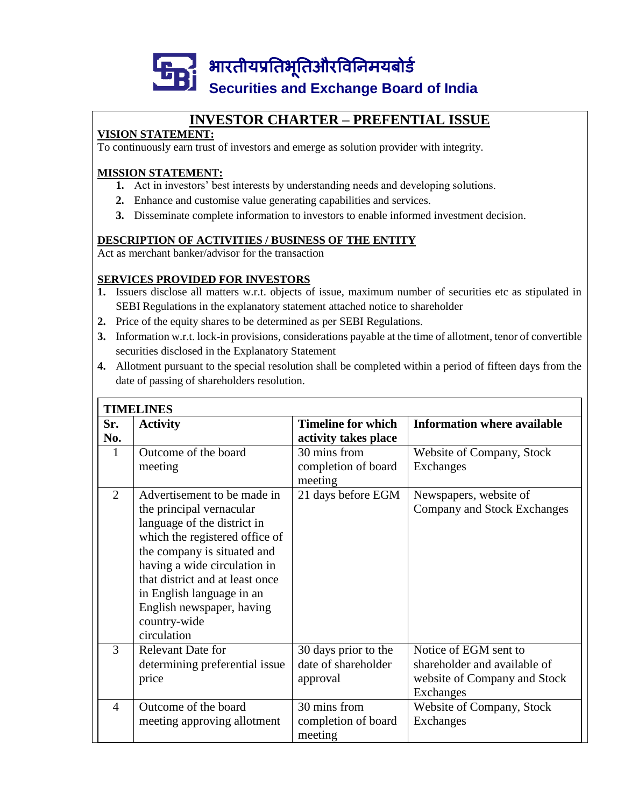

### **INVESTOR CHARTER – PREFENTIAL ISSUE**

### **VISION STATEMENT:**

To continuously earn trust of investors and emerge as solution provider with integrity.

### **MISSION STATEMENT:**

- **1.** Act in investors' best interests by understanding needs and developing solutions.
- **2.** Enhance and customise value generating capabilities and services.
- **3.** Disseminate complete information to investors to enable informed investment decision.

### **DESCRIPTION OF ACTIVITIES / BUSINESS OF THE ENTITY**

Act as merchant banker/advisor for the transaction

### **SERVICES PROVIDED FOR INVESTORS**

- **1.** Issuers disclose all matters w.r.t. objects of issue, maximum number of securities etc as stipulated in SEBI Regulations in the explanatory statement attached notice to shareholder
- **2.** Price of the equity shares to be determined as per SEBI Regulations.
- **3.** Information w.r.t. lock-in provisions, considerations payable at the time of allotment, tenor of convertible securities disclosed in the Explanatory Statement
- **4.** Allotment pursuant to the special resolution shall be completed within a period of fifteen days from the date of passing of shareholders resolution.

|                | <b>TIMELINES</b>                                                                                                                                                                                                                                                                                                    |                                                         |                                                                                                           |  |  |  |  |  |
|----------------|---------------------------------------------------------------------------------------------------------------------------------------------------------------------------------------------------------------------------------------------------------------------------------------------------------------------|---------------------------------------------------------|-----------------------------------------------------------------------------------------------------------|--|--|--|--|--|
| Sr.<br>No.     | <b>Activity</b>                                                                                                                                                                                                                                                                                                     | <b>Timeline for which</b><br>activity takes place       | <b>Information where available</b>                                                                        |  |  |  |  |  |
| 1              | Outcome of the board<br>meeting                                                                                                                                                                                                                                                                                     | 30 mins from<br>completion of board<br>meeting          | Website of Company, Stock<br><b>Exchanges</b>                                                             |  |  |  |  |  |
| $\overline{2}$ | Advertisement to be made in<br>the principal vernacular<br>language of the district in<br>which the registered office of<br>the company is situated and<br>having a wide circulation in<br>that district and at least once<br>in English language in an<br>English newspaper, having<br>country-wide<br>circulation | 21 days before EGM                                      | Newspapers, website of<br>Company and Stock Exchanges                                                     |  |  |  |  |  |
| 3              | <b>Relevant Date for</b><br>determining preferential issue<br>price                                                                                                                                                                                                                                                 | 30 days prior to the<br>date of shareholder<br>approval | Notice of EGM sent to<br>shareholder and available of<br>website of Company and Stock<br><b>Exchanges</b> |  |  |  |  |  |
| 4              | Outcome of the board<br>meeting approving allotment                                                                                                                                                                                                                                                                 | 30 mins from<br>completion of board<br>meeting          | Website of Company, Stock<br>Exchanges                                                                    |  |  |  |  |  |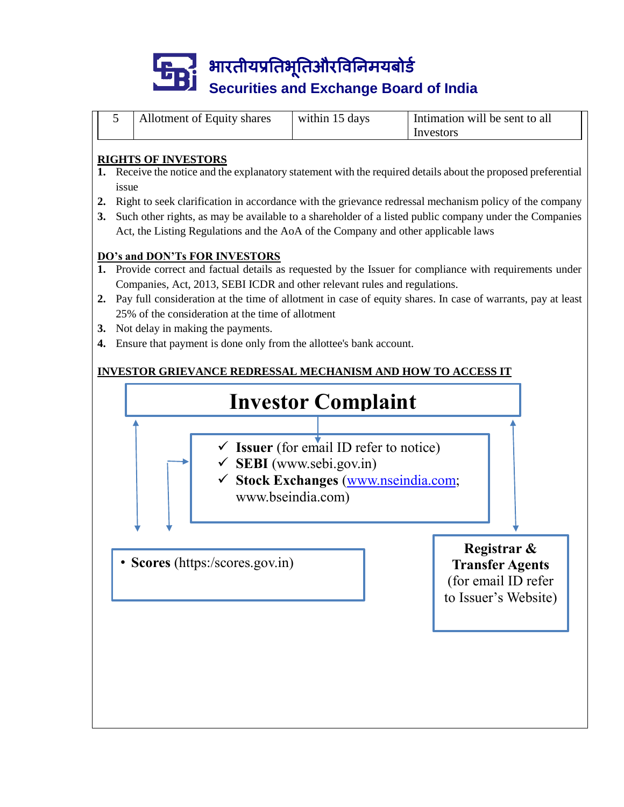

|  | Allotment of Equity shares | within 15 days | Intimation will be sent to all |
|--|----------------------------|----------------|--------------------------------|
|  |                            |                | Investors                      |

### **RIGHTS OF INVESTORS**

- **1.** Receive the notice and the explanatory statement with the required details about the proposed preferential issue
- **2.** Right to seek clarification in accordance with the grievance redressal mechanism policy of the company
- **3.** Such other rights, as may be available to a shareholder of a listed public company under the Companies Act, the Listing Regulations and the AoA of the Company and other applicable laws

### **DO's and DON'Ts FOR INVESTORS**

- **1.** Provide correct and factual details as requested by the Issuer for compliance with requirements under Companies, Act, 2013, SEBI ICDR and other relevant rules and regulations.
- **2.** Pay full consideration at the time of allotment in case of equity shares. In case of warrants, pay at least 25% of the consideration at the time of allotment
- **3.** Not delay in making the payments.
- **4.** Ensure that payment is done only from the allottee's bank account.

### **INVESTOR GRIEVANCE REDRESSAL MECHANISM AND HOW TO ACCESS IT**

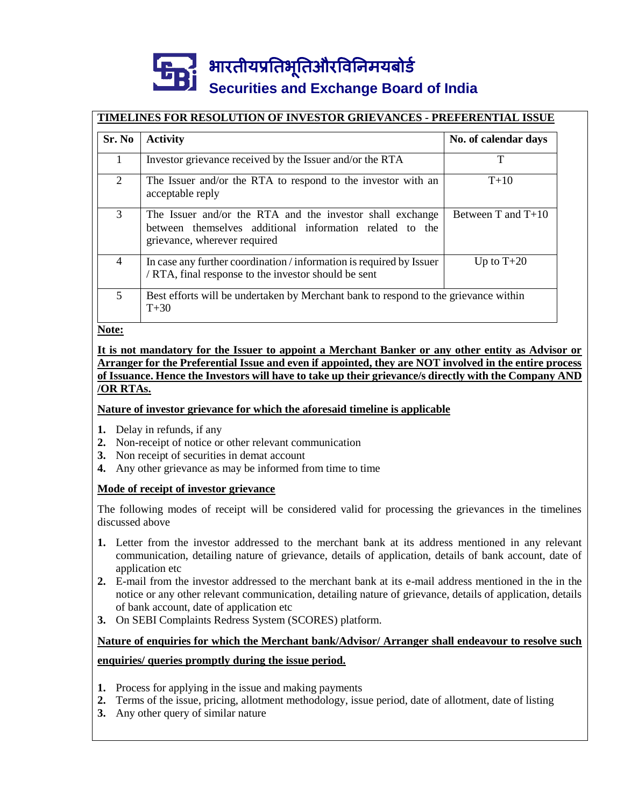## भारतीयप्रततभूततऔरवितिमयबोर्ड **Securities and Exchange Board of India**

### **TIMELINES FOR RESOLUTION OF INVESTOR GRIEVANCES - PREFERENTIAL ISSUE**

| Sr. No         | <b>Activity</b>                                                                                                                                       | No. of calendar days   |
|----------------|-------------------------------------------------------------------------------------------------------------------------------------------------------|------------------------|
| 1              | Investor grievance received by the Issuer and/or the RTA                                                                                              | Т                      |
| 2              | The Issuer and/or the RTA to respond to the investor with an<br>acceptable reply                                                                      | $T+10$                 |
| 3              | The Issuer and/or the RTA and the investor shall exchange<br>between themselves additional information related to the<br>grievance, wherever required | Between $T$ and $T+10$ |
| $\overline{4}$ | In case any further coordination / information is required by Issuer<br>/ RTA, final response to the investor should be sent                          | Up to $T+20$           |
| 5              | Best efforts will be undertaken by Merchant bank to respond to the grievance within<br>$T + 30$                                                       |                        |

**Note:**

#### **It is not mandatory for the Issuer to appoint a Merchant Banker or any other entity as Advisor or Arranger for the Preferential Issue and even if appointed, they are NOT involved in the entire process of Issuance. Hence the Investors will have to take up their grievance/s directly with the Company AND /OR RTAs.**

### **Nature of investor grievance for which the aforesaid timeline is applicable**

- **1.** Delay in refunds, if any
- **2.** Non-receipt of notice or other relevant communication
- **3.** Non receipt of securities in demat account
- **4.** Any other grievance as may be informed from time to time

### **Mode of receipt of investor grievance**

The following modes of receipt will be considered valid for processing the grievances in the timelines discussed above

- **1.** Letter from the investor addressed to the merchant bank at its address mentioned in any relevant communication, detailing nature of grievance, details of application, details of bank account, date of application etc
- **2.** E-mail from the investor addressed to the merchant bank at its e-mail address mentioned in the in the notice or any other relevant communication, detailing nature of grievance, details of application, details of bank account, date of application etc
- **3.** On SEBI Complaints Redress System (SCORES) platform.

### **Nature of enquiries for which the Merchant bank/Advisor/ Arranger shall endeavour to resolve such enquiries/ queries promptly during the issue period.**

- **1.** Process for applying in the issue and making payments
- **2.** Terms of the issue, pricing, allotment methodology, issue period, date of allotment, date of listing
- **3.** Any other query of similar nature